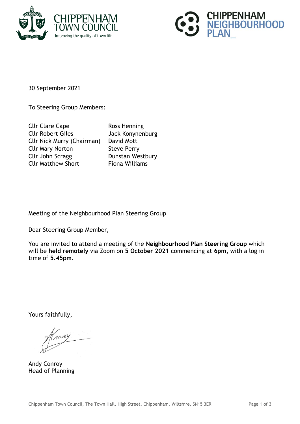



30 September 2021

To Steering Group Members:

Cllr Clare Cape Ross Henning Cllr Robert Giles Jack Konynenburg Cllr Nick Murry (Chairman) David Mott Cllr Mary Norton Steve Perry Cllr John Scragg Dunstan Westbury Cllr Matthew Short Fiona Williams

Meeting of the Neighbourhood Plan Steering Group

Dear Steering Group Member,

You are invited to attend a meeting of the **Neighbourhood Plan Steering Group** which will be **held remotely** via Zoom on **5 October 2021** commencing at **6pm,** with a log in time of **5.45pm.**

Yours faithfully,

Andy Conroy Head of Planning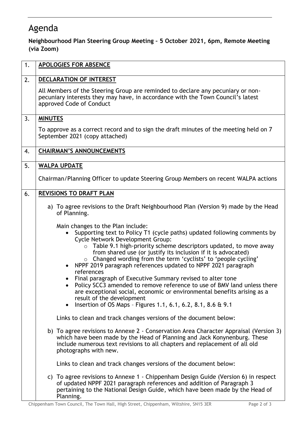## Agenda

## **Neighbourhood Plan Steering Group Meeting – 5 October 2021, 6pm, Remote Meeting (via Zoom)**

| 1. | <b>APOLOGIES FOR ABSENCE</b>                                                                                                                                                                                                                                                                                                                                                                                                                                                                                                                                                                                                                                                                                                                                                                                                                                  |
|----|---------------------------------------------------------------------------------------------------------------------------------------------------------------------------------------------------------------------------------------------------------------------------------------------------------------------------------------------------------------------------------------------------------------------------------------------------------------------------------------------------------------------------------------------------------------------------------------------------------------------------------------------------------------------------------------------------------------------------------------------------------------------------------------------------------------------------------------------------------------|
| 2. | DECLARATION OF INTEREST                                                                                                                                                                                                                                                                                                                                                                                                                                                                                                                                                                                                                                                                                                                                                                                                                                       |
|    | All Members of the Steering Group are reminded to declare any pecuniary or non-<br>pecuniary interests they may have, in accordance with the Town Council's latest<br>approved Code of Conduct                                                                                                                                                                                                                                                                                                                                                                                                                                                                                                                                                                                                                                                                |
| 3. | <b>MINUTES</b>                                                                                                                                                                                                                                                                                                                                                                                                                                                                                                                                                                                                                                                                                                                                                                                                                                                |
|    | To approve as a correct record and to sign the draft minutes of the meeting held on 7<br>September 2021 (copy attached)                                                                                                                                                                                                                                                                                                                                                                                                                                                                                                                                                                                                                                                                                                                                       |
| 4. | <b>CHAIRMAN'S ANNOUNCEMENTS</b>                                                                                                                                                                                                                                                                                                                                                                                                                                                                                                                                                                                                                                                                                                                                                                                                                               |
| 5. | <b>WALPA UPDATE</b>                                                                                                                                                                                                                                                                                                                                                                                                                                                                                                                                                                                                                                                                                                                                                                                                                                           |
|    | Chairman/Planning Officer to update Steering Group Members on recent WALPA actions                                                                                                                                                                                                                                                                                                                                                                                                                                                                                                                                                                                                                                                                                                                                                                            |
| 6. | <b>REVISIONS TO DRAFT PLAN</b>                                                                                                                                                                                                                                                                                                                                                                                                                                                                                                                                                                                                                                                                                                                                                                                                                                |
|    | a) To agree revisions to the Draft Neighbourhood Plan (Version 9) made by the Head<br>of Planning.                                                                                                                                                                                                                                                                                                                                                                                                                                                                                                                                                                                                                                                                                                                                                            |
|    | Main changes to the Plan include:<br>Supporting text to Policy T1 (cycle paths) updated following comments by<br>$\bullet$<br><b>Cycle Network Development Group:</b><br>Table 9.1 high-priority scheme descriptors updated, to move away<br>from shared use (or justify its inclusion if it is advocated)<br>o Changed wording from the term 'cyclists' to 'people cycling'<br>NPPF 2019 paragraph references updated to NPPF 2021 paragraph<br>references<br>Final paragraph of Executive Summary revised to alter tone<br>Policy SCC3 amended to remove reference to use of BMV land unless there<br>are exceptional social, economic or environmental benefits arising as a<br>result of the development<br>Insertion of OS Maps - Figures 1.1, 6.1, 6.2, 8.1, 8.6 & 9.1<br>$\bullet$<br>Links to clean and track changes versions of the document below: |
|    | b) To agree revisions to Annexe 2 - Conservation Area Character Appraisal (Version 3)<br>which have been made by the Head of Planning and Jack Konynenburg. These<br>include numerous text revisions to all chapters and replacement of all old<br>photographs with new.                                                                                                                                                                                                                                                                                                                                                                                                                                                                                                                                                                                      |
|    | Links to clean and track changes versions of the document below:                                                                                                                                                                                                                                                                                                                                                                                                                                                                                                                                                                                                                                                                                                                                                                                              |
|    | c) To agree revisions to Annexe 1 - Chippenham Design Guide (Version 6) in respect<br>of updated NPPF 2021 paragraph references and addition of Paragraph 3<br>pertaining to the National Design Guide, which have been made by the Head of<br>Planning.                                                                                                                                                                                                                                                                                                                                                                                                                                                                                                                                                                                                      |